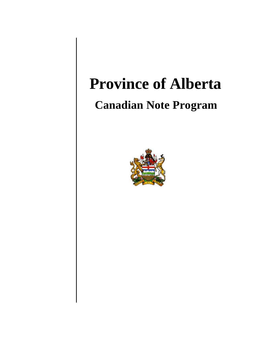# **Province of Alberta**

# **Canadian Note Program**

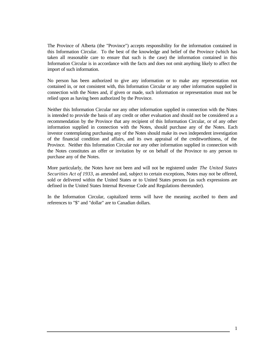The Province of Alberta (the "Province") accepts responsibility for the information contained in this Information Circular. To the best of the knowledge and belief of the Province (which has taken all reasonable care to ensure that such is the case) the information contained in this Information Circular is in accordance with the facts and does not omit anything likely to affect the import of such information.

No person has been authorized to give any information or to make any representation not contained in, or not consistent with, this Information Circular or any other information supplied in connection with the Notes and, if given or made, such information or representation must not be relied upon as having been authorized by the Province.

Neither this Information Circular nor any other information supplied in connection with the Notes is intended to provide the basis of any credit or other evaluation and should not be considered as a recommendation by the Province that any recipient of this Information Circular, or of any other information supplied in connection with the Notes, should purchase any of the Notes. Each investor contemplating purchasing any of the Notes should make its own independent investigation of the financial condition and affairs, and its own appraisal of the creditworthiness, of the Province. Neither this Information Circular nor any other information supplied in connection with the Notes constitutes an offer or invitation by or on behalf of the Province to any person to purchase any of the Notes.

More particularly, the Notes have not been and will not be registered under *The United States Securities Act of 1933*, as amended and, subject to certain exceptions, Notes may not be offered, sold or delivered within the United States or to United States persons (as such expressions are defined in the United States Internal Revenue Code and Regulations thereunder).

In the Information Circular, capitalized terms will have the meaning ascribed to them and references to "\$" and "dollar" are to Canadian dollars.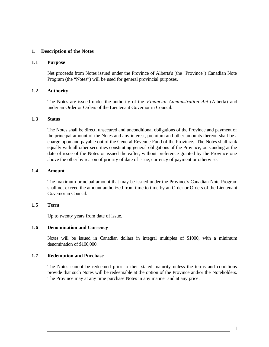#### **1. Description of the Notes**

#### **1.1 Purpose**

Net proceeds from Notes issued under the Province of Alberta's (the "Province") Canadian Note Program (the "Notes") will be used for general provincial purposes.

#### **1.2 Authority**

The Notes are issued under the authority of the *Financial Administration Act* (Alberta) and under an Order or Orders of the Lieutenant Governor in Council.

# **1.3 Status**

The Notes shall be direct, unsecured and unconditional obligations of the Province and payment of the principal amount of the Notes and any interest, premium and other amounts thereon shall be a charge upon and payable out of the General Revenue Fund of the Province. The Notes shall rank equally with all other securities constituting general obligations of the Province, outstanding at the date of issue of the Notes or issued thereafter, without preference granted by the Province one above the other by reason of priority of date of issue, currency of payment or otherwise.

#### **1.4 Amount**

The maximum principal amount that may be issued under the Province's Canadian Note Program shall not exceed the amount authorized from time to time by an Order or Orders of the Lieutenant Governor in Council.

#### **1.5 Term**

Up to twenty years from date of issue.

#### **1.6 Denomination and Currency**

Notes will be issued in Canadian dollars in integral multiples of \$1000, with a minimum denomination of \$100,000.

### **1.7 Redemption and Purchase**

The Notes cannot be redeemed prior to their stated maturity unless the terms and conditions provide that such Notes will be redeemable at the option of the Province and/or the Noteholders. The Province may at any time purchase Notes in any manner and at any price.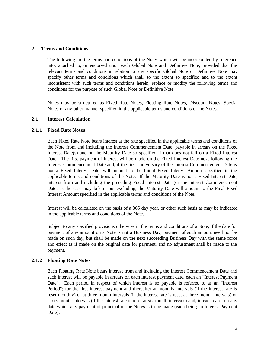#### **2. Terms and Conditions**

The following are the terms and conditions of the Notes which will be incorporated by reference into, attached to, or endorsed upon each Global Note and Definitive Note, provided that the relevant terms and conditions in relation to any specific Global Note or Definitive Note may specify other terms and conditions which shall, to the extent so specified and to the extent inconsistent with such terms and conditions herein, replace or modify the following terms and conditions for the purpose of such Global Note or Definitive Note.

Notes may be structured as Fixed Rate Notes, Floating Rate Notes, Discount Notes, Special Notes or any other manner specified in the applicable terms and conditions of the Notes.

# **2.1 Interest Calculation**

# **2.1.1 Fixed Rate Notes**

Each Fixed Rate Note bears interest at the rate specified in the applicable terms and conditions of the Note from and including the Interest Commencement Date, payable in arrears on the Fixed Interest Date(s) and on the Maturity Date so specified if that does not fall on a Fixed Interest Date. The first payment of interest will be made on the Fixed Interest Date next following the Interest Commencement Date and, if the first anniversary of the Interest Commencement Date is not a Fixed Interest Date, will amount to the Initial Fixed Interest Amount specified in the applicable terms and conditions of the Note. If the Maturity Date is not a Fixed Interest Date, interest from and including the preceding Fixed Interest Date (or the Interest Commencement Date, as the case may be) to, but excluding, the Maturity Date will amount to the Final Fixed Interest Amount specified in the applicable terms and conditions of the Note.

Interest will be calculated on the basis of a 365 day year, or other such basis as may be indicated in the applicable terms and conditions of the Note.

Subject to any specified provisions otherwise in the terms and conditions of a Note, if the date for payment of any amount on a Note is not a Business Day, payment of such amount need not be made on such day, but shall be made on the next succeeding Business Day with the same force and effect as if made on the original date for payment, and no adjustment shall be made to the payment.

# **2.1.2 Floating Rate Notes**

Each Floating Rate Note bears interest from and including the Interest Commencement Date and such interest will be payable in arrears on each interest payment date, each an "Interest Payment Date". Each period in respect of which interest is so payable is referred to as an "Interest Period"; for the first interest payment and thereafter at monthly intervals (if the interest rate is reset monthly) or at three-month intervals (if the interest rate is reset at three-month intervals) or at six-month intervals (if the interest rate is reset at six-month intervals) and, in each case, on any date which any payment of principal of the Notes is to be made (each being an Interest Payment Date).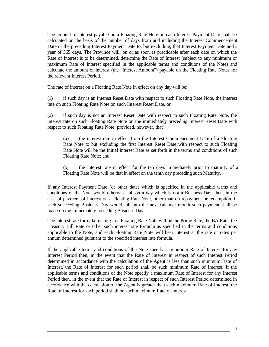The amount of interest payable on a Floating Rate Note on each Interest Payment Date shall be calculated on the basis of the number of days from and including the Interest Commencement Date or the preceding Interest Payment Date to, but excluding, that Interest Payment Date and a year of 365 days. The Province will, on or as soon as practicable after each date on which the Rate of Interest is to be determined, determine the Rate of Interest (subject to any minimum or maximum Rate of Interest specified in the applicable terms and conditions of the Note) and calculate the amount of interest (the "Interest Amount") payable on the Floating Rate Notes for the relevant Interest Period.

The rate of interest on a Floating Rate Note in effect on any day will be:

(1) if such day is an Interest Reset Date with respect to such Floating Rate Note, the interest rate on such Floating Rate Note on such Interest Reset Date, or

(2) if such day is not an Interest Reset Date with respect to such Floating Rate Note, the interest rate on such Floating Rate Note on the immediately preceding Interest Reset Date with respect to such Floating Rate Note; provided, however, that

(a) the interest rate in effect from the Interest Commencement Date of a Floating Rate Note to but excluding the first Interest Reset Date with respect to such Floating Rate Note will be the Initial Interest Rate as set forth in the terms and conditions of such Floating Rate Note; and

(b) the interest rate in effect for the ten days immediately prior to maturity of a Floating Rate Note will be that in effect on the tenth day preceding such Maturity.

If any Interest Payment Date (or other date) which is specified in the applicable terms and conditions of the Note would otherwise fall on a day which is not a Business Day, then, in the case of payment of interest on a Floating Rate Note, other than on repayment or redemption, if such succeeding Business Day would fall into the next calendar month such payment shall be made on the immediately preceding Business Day.

The interest rate formula relating to a Floating Rate Note will be the Prime Rate, the BA Rate, the Treasury Bill Rate or other such interest rate formula as specified in the terms and conditions applicable to the Note, and each Floating Rate Note will bear interest at the rate or rates per annum determined pursuant to the specified interest rate formula.

If the applicable terms and conditions of the Note specify a minimum Rate of Interest for any Interest Period then, in the event that the Rate of Interest in respect of such Interest Period determined in accordance with the calculation of the Agent is less than such minimum Rate of Interest, the Rate of Interest for such period shall be such minimum Rate of Interest. If the applicable terms and conditions of the Note specify a maximum Rate of Interest for any Interest Period then, in the event that the Rate of Interest in respect of such Interest Period determined in accordance with the calculation of the Agent is greater than such maximum Rate of Interest, the Rate of Interest for such period shall be such maximum Rate of Interest.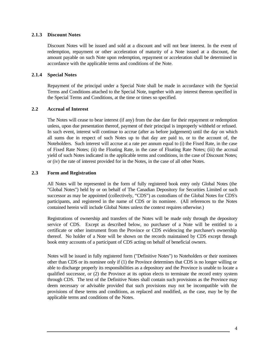# **2.1.3 Discount Notes**

Discount Notes will be issued and sold at a discount and will not bear interest. In the event of redemption, repayment or other acceleration of maturity of a Note issued at a discount, the amount payable on such Note upon redemption, repayment or acceleration shall be determined in accordance with the applicable terms and conditions of the Note.

# **2.1.4 Special Notes**

Repayment of the principal under a Special Note shall be made in accordance with the Special Terms and Conditions attached to the Special Note, together with any interest thereon specified in the Special Terms and Conditions, at the time or times so specified.

# **2.2 Accrual of Interest**

The Notes will cease to bear interest (if any) from the due date for their repayment or redemption unless, upon due presentation thereof, payment of their principal is improperly withheld or refused. In such event, interest will continue to accrue (after as before judgement) until the day on which all sums due in respect of such Notes up to that day are paid to, or to the account of, the Noteholders. Such interest will accrue at a rate per annum equal to (i) the Fixed Rate, in the case of Fixed Rate Notes; (ii) the Floating Rate, in the case of Floating Rate Notes; (iii) the accrual yield of such Notes indicated in the applicable terms and conditions, in the case of Discount Notes; or (iv) the rate of interest provided for in the Notes, in the case of all other Notes.

#### **2.3 Form and Registration**

All Notes will be represented in the form of fully registered book entry only Global Notes (the "Global Notes") held by or on behalf of The Canadian Depository for Securities Limited or such successor as may be appointed (collectively, "CDS") as custodians of the Global Notes for CDS's participants, and registered in the name of CDS or its nominee. (All references to the Notes contained herein will include Global Notes unless the context requires otherwise.)

Registrations of ownership and transfers of the Notes will be made only through the depository service of CDS. Except as described below, no purchaser of a Note will be entitled to a certificate or other instrument from the Province or CDS evidencing the purchaser's ownership thereof. No holder of a Note will be shown on the records maintained by CDS except through book entry accounts of a participant of CDS acting on behalf of beneficial owners.

Notes will be issued in fully registered form ("Definitive Notes") to Noteholders or their nominees other than CDS or its nominee only if (1) the Province determines that CDS is no longer willing or able to discharge properly its responsibilities as a depository and the Province is unable to locate a qualified successor, or (2) the Province at its option elects to terminate the record entry system through CDS. The text of the Definitive Notes shall contain such provisions as the Province may deem necessary or advisable provided that such provisions may not be incompatible with the provisions of these terms and conditions, as replaced and modified, as the case, may be by the applicable terms and conditions of the Notes.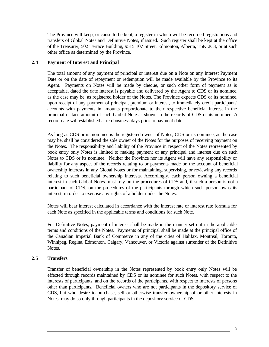The Province will keep, or cause to be kept, a register in which will be recorded registrations and transfers of Global Notes and Definitive Notes, if issued. Such register shall be kept at the office of the Treasurer, 502 Terrace Building, 9515 107 Street, Edmonton, Alberta, T5K 2C3, or at such other office as determined by the Province.

# **2.4 Payment of Interest and Principal**

The total amount of any payment of principal or interest due on a Note on any Interest Payment Date or on the date of repayment or redemption will be made available by the Province to its Agent. Payments on Notes will be made by cheque, or such other form of payment as is acceptable, dated the date interest is payable and delivered by the Agent to CDS or its nominee, as the case may be, as registered holder of the Notes. The Province expects CDS or its nominee, upon receipt of any payment of principal, premium or interest, to immediately credit participants' accounts with payments in amounts proportionate to their respective beneficial interest in the principal or face amount of such Global Note as shown in the records of CDS or its nominee. A record date will established at ten business days prior to payment date.

As long as CDS or its nominee is the registered owner of Notes, CDS or its nominee, as the case may be, shall be considered the sole owner of the Notes for the purposes of receiving payment on the Notes. The responsibility and liability of the Province in respect of the Notes represented by book entry only Notes is limited to making payment of any principal and interest due on such Notes to CDS or its nominee. Neither the Province nor its Agent will have any responsibility or liability for any aspect of the records relating to or payments made on the account of beneficial ownership interests in any Global Notes or for maintaining, supervising, or reviewing any records relating to such beneficial ownership interests. Accordingly, each person owning a beneficial interest in such Global Notes must rely on the procedures of CDS and, if such a person is not a participant of CDS, on the procedures of the participants through which such person owns its interest, in order to exercise any rights of a holder under the Notes.

Notes will bear interest calculated in accordance with the interest rate or interest rate formula for each Note as specified in the applicable terms and conditions for such Note.

For Definitive Notes, payment of interest shall be made in the manner set out in the applicable terms and conditions of the Notes. Payments of principal shall be made at the principal office of the Canadian Imperial Bank of Commerce in any of the cities of Halifax, Montreal, Toronto, Winnipeg, Regina, Edmonton, Calgary, Vancouver, or Victoria against surrender of the Definitive Notes.

# **2.5 Transfers**

Transfer of beneficial ownership in the Notes represented by book entry only Notes will be effected through records maintained by CDS or its nominee for such Notes, with respect to the interests of participants, and on the records of the participants, with respect to interests of persons other than participants. Beneficial owners who are not participants in the depository service of CDS, but who desire to purchase, sell or otherwise transfer ownership of or other interests in Notes, may do so only through participants in the depository service of CDS.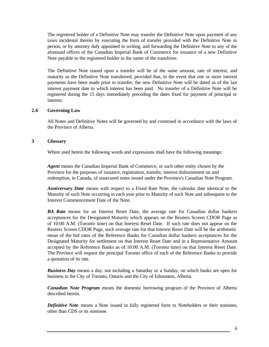The registered holder of a Definitive Note may transfer the Definitive Note upon payment of any taxes incidental thereto by executing the form of transfer provided with the Definitive Note in person, or by attorney duly appointed in writing, and forwarding the Definitive Note to any of the aforesaid offices of the Canadian Imperial Bank of Commerce for issuance of a new Definitive Note payable to the registered holder in the name of the transferee.

The Definitive Note issued upon a transfer will be of the same amount, rate of interest, and maturity as the Definitive Note transferred, provided that, in the event that one or more interest payments have been made prior to transfer, the new Definitive Note will be dated as of the last interest payment date to which interest has been paid. No transfer of a Definitive Note will be registered during the 15 days immediately preceding the dates fixed for payment of principal or interest.

# **2.6 Governing Law**

All Notes and Definitive Notes will be governed by and construed in accordance with the laws of the Province of Alberta.

#### **3 Glossary**

Where used herein the following words and expressions shall have the following meanings:

*Agent* means the Canadian Imperial Bank of Commerce, or such other entity chosen by the Province for the purposes of issuance, registration, transfer, interest disbursement on and redemption, in Canada, of unsecured notes issued under the Province's Canadian Note Program.

*Anniversary Date* means with respect to a Fixed Rate Note, the calendar date identical to the Maturity of such Note occurring in each year prior to Maturity of such Note and subsequent to the Interest Commencement Date of the Note.

*BA Rate* means for an Interest Reset Date, the average rate for Canadian dollar bankers acceptances for the Designated Maturity which appears on the Reuters Screen CDOR Page as of 10:00 A.M. (Toronto time) on that Interest Reset Date. If such rate does not appear on the Reuters Screen CDOR Page, such average rate for that Interest Reset Date will be the arithmetic mean of the bid rates of the Reference Banks for Canadian dollar bankers acceptances for the Designated Maturity for settlement on that Interest Reset Date and in a Representative Amount accepted by the Reference Banks as of 10:00 A.M. (Toronto time) on that Interest Reset Date. The Province will request the principal Toronto office of each of the Reference Banks to provide a quotation of its rate.

*Business Day* means a day, not including a Saturday or a Sunday, on which banks are open for business in the City of Toronto, Ontario and the City of Edmonton, Alberta.

*Canadian Note Program* means the domestic borrowing program of the Province of Alberta described herein.

*Definitive Note* means a Note issued in fully registered form to Noteholders or their nominee, other than CDS or its nominee.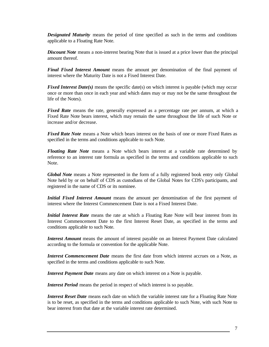*Designated Maturity* means the period of time specified as such in the terms and conditions applicable to a Floating Rate Note.

*Discount Note* means a non-interest bearing Note that is issued at a price lower than the principal amount thereof.

*Final Fixed Interest Amount* means the amount per denomination of the final payment of interest where the Maturity Date is not a Fixed Interest Date.

*Fixed Interest Date(s)* means the specific date(s) on which interest is payable (which may occur once or more than once in each year and which dates may or may not be the same throughout the life of the Notes).

*Fixed Rate* means the rate, generally expressed as a percentage rate per annum, at which a Fixed Rate Note bears interest, which may remain the same throughout the life of such Note or increase and/or decrease.

*Fixed Rate Note* means a Note which bears interest on the basis of one or more Fixed Rates as specified in the terms and conditions applicable to such Note.

*Floating Rate Note* means a Note which bears interest at a variable rate determined by reference to an interest rate formula as specified in the terms and conditions applicable to such Note.

*Global Note* means a Note represented in the form of a fully registered book entry only Global Note held by or on behalf of CDS as custodians of the Global Notes for CDS's participants, and registered in the name of CDS or its nominee.

*Initial Fixed Interest Amount* means the amount per denomination of the first payment of interest where the Interest Commencement Date is not a Fixed Interest Date.

*Initial Interest Rate* means the rate at which a Floating Rate Note will bear interest from its Interest Commencement Date to the first Interest Reset Date, as specified in the terms and conditions applicable to such Note.

*Interest Amount* means the amount of interest payable on an Interest Payment Date calculated according to the formula or convention for the applicable Note.

*Interest Commencement Date* means the first date from which interest accrues on a Note, as specified in the terms and conditions applicable to such Note.

*Interest Payment Date* means any date on which interest on a Note is payable.

*Interest Period* means the period in respect of which interest is so payable.

*Interest Reset Date* means each date on which the variable interest rate for a Floating Rate Note is to be reset, as specified in the terms and conditions applicable to such Note, with such Note to bear interest from that date at the variable interest rate determined.